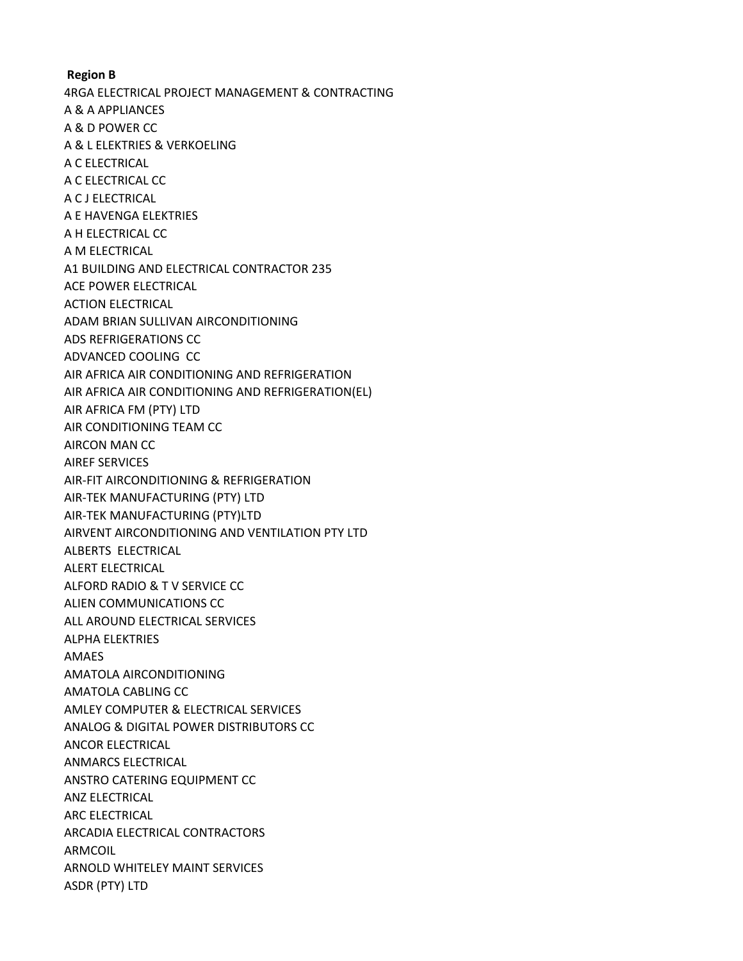**Region B** 4RGA ELECTRICAL PROJECT MANAGEMENT & CONTRACTING A & A APPLIANCES A & D POWER CC A & L ELEKTRIES & VERKOELING A C ELECTRICAL A C ELECTRICAL CC A C J ELECTRICAL A E HAVENGA ELEKTRIES A H ELECTRICAL CC A M ELECTRICAL A1 BUILDING AND ELECTRICAL CONTRACTOR 235 ACE POWER ELECTRICAL ACTION ELECTRICAL ADAM BRIAN SULLIVAN AIRCONDITIONING ADS REFRIGERATIONS CC ADVANCED COOLING CC AIR AFRICA AIR CONDITIONING AND REFRIGERATION AIR AFRICA AIR CONDITIONING AND REFRIGERATION(EL) AIR AFRICA FM (PTY) LTD AIR CONDITIONING TEAM CC AIRCON MAN CC AIREF SERVICES AIR-FIT AIRCONDITIONING & REFRIGERATION AIR-TEK MANUFACTURING (PTY) LTD AIR-TEK MANUFACTURING (PTY)LTD AIRVENT AIRCONDITIONING AND VENTILATION PTY LTD ALBERTS ELECTRICAL ALERT ELECTRICAL ALFORD RADIO & T V SERVICE CC ALIEN COMMUNICATIONS CC ALL AROUND ELECTRICAL SERVICES ALPHA ELEKTRIES AMAES AMATOLA AIRCONDITIONING AMATOLA CABLING CC AMLEY COMPUTER & ELECTRICAL SERVICES ANALOG & DIGITAL POWER DISTRIBUTORS CC ANCOR ELECTRICAL ANMARCS ELECTRICAL ANSTRO CATERING EQUIPMENT CC ANZ ELECTRICAL ARC ELECTRICAL ARCADIA ELECTRICAL CONTRACTORS ARMCOIL ARNOLD WHITELEY MAINT SERVICES ASDR (PTY) LTD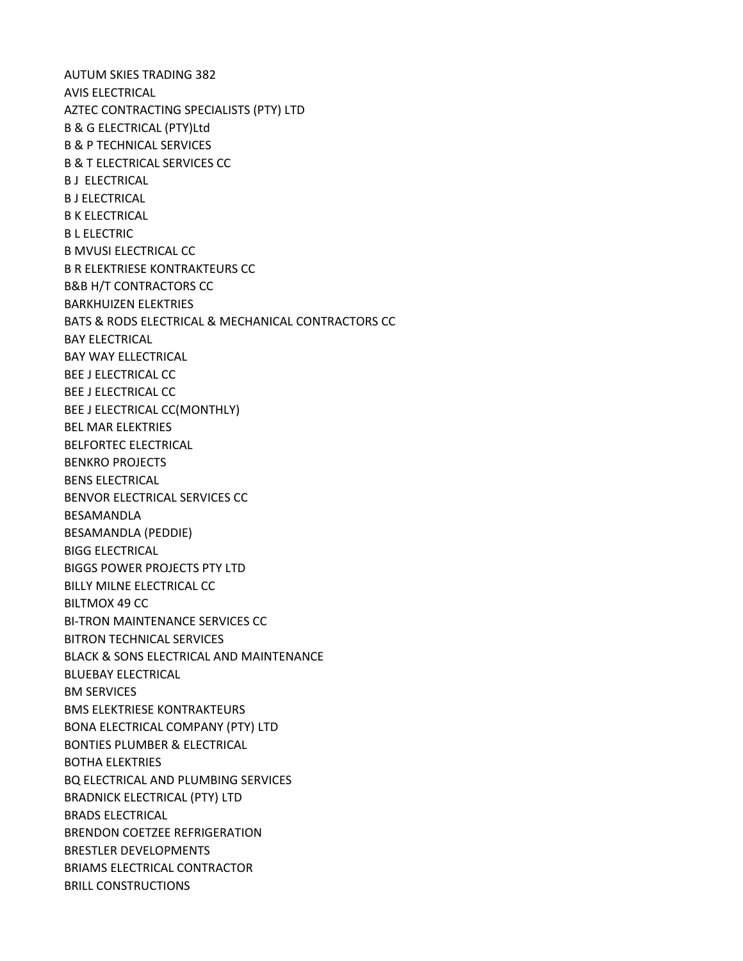AUTUM SKIES TRADING 382 AVIS ELECTRICAL AZTEC CONTRACTING SPECIALISTS (PTY) LTD B & G ELECTRICAL (PTY)Ltd B & P TECHNICAL SERVICES B & T ELECTRICAL SERVICES CC B J ELECTRICAL B J ELECTRICAL B K ELECTRICAL B L ELECTRIC B MVUSI ELECTRICAL CC B R ELEKTRIESE KONTRAKTEURS CC B&B H/T CONTRACTORS CC BARKHUIZEN ELEKTRIES BATS & RODS ELECTRICAL & MECHANICAL CONTRACTORS CC BAY ELECTRICAL BAY WAY ELLECTRICAL BEE J ELECTRICAL CC BEE J ELECTRICAL CC BEE J ELECTRICAL CC(MONTHLY) BEL MAR ELEKTRIES BELFORTEC ELECTRICAL BENKRO PROJECTS BENS ELECTRICAL BENVOR ELECTRICAL SERVICES CC BESAMANDLA BESAMANDLA (PEDDIE) BIGG ELECTRICAL BIGGS POWER PROJECTS PTY LTD BILLY MILNE ELECTRICAL CC BILTMOX 49 CC BI-TRON MAINTENANCE SERVICES CC BITRON TECHNICAL SERVICES BLACK & SONS ELECTRICAL AND MAINTENANCE BLUEBAY ELECTRICAL BM SERVICES BMS ELEKTRIESE KONTRAKTEURS BONA ELECTRICAL COMPANY (PTY) LTD BONTIES PLUMBER & ELECTRICAL BOTHA ELEKTRIES BQ ELECTRICAL AND PLUMBING SERVICES BRADNICK ELECTRICAL (PTY) LTD BRADS ELECTRICAL BRENDON COETZEE REFRIGERATION BRESTLER DEVELOPMENTS BRIAMS ELECTRICAL CONTRACTOR BRILL CONSTRUCTIONS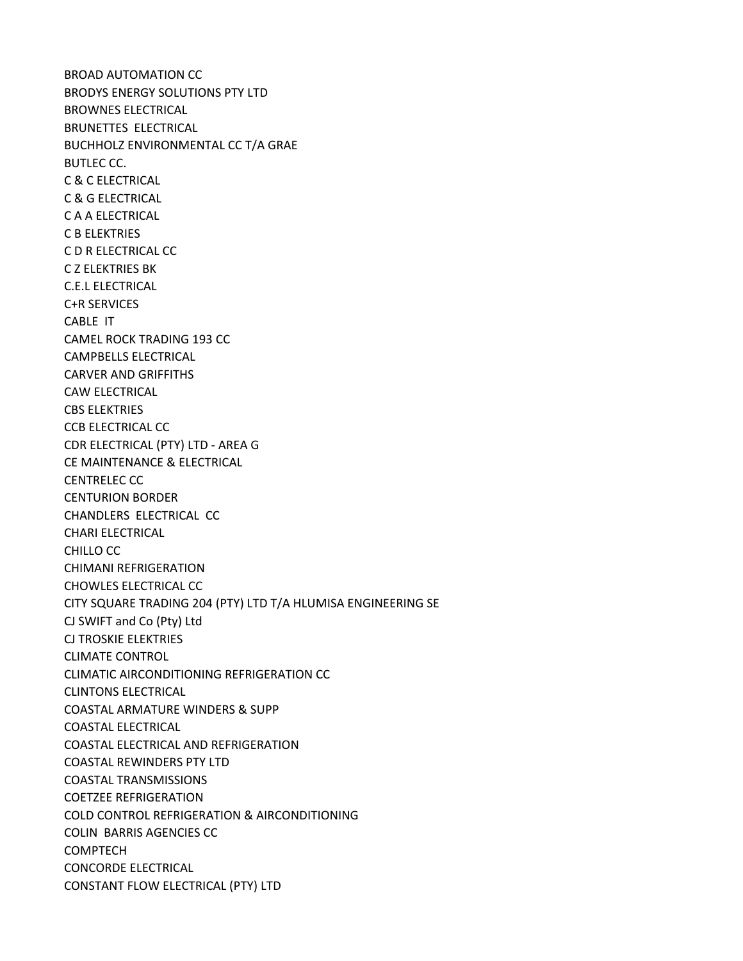BROAD AUTOMATION CC BRODYS ENERGY SOLUTIONS PTY LTD BROWNES ELECTRICAL BRUNETTES ELECTRICAL BUCHHOLZ ENVIRONMENTAL CC T/A GRAE BUTLEC CC. C & C ELECTRICAL C & G ELECTRICAL C A A ELECTRICAL C B ELEKTRIES C D R ELECTRICAL CC C Z ELEKTRIES BK C.E.L ELECTRICAL C+R SERVICES CABLE IT CAMEL ROCK TRADING 193 CC CAMPBELLS ELECTRICAL CARVER AND GRIFFITHS CAW ELECTRICAL CBS ELEKTRIES CCB ELECTRICAL CC CDR ELECTRICAL (PTY) LTD - AREA G CE MAINTENANCE & ELECTRICAL CENTRELEC CC CENTURION BORDER CHANDLERS ELECTRICAL CC CHARI ELECTRICAL CHILLO CC CHIMANI REFRIGERATION CHOWLES ELECTRICAL CC CITY SQUARE TRADING 204 (PTY) LTD T/A HLUMISA ENGINEERING SE CJ SWIFT and Co (Pty) Ltd CJ TROSKIE ELEKTRIES CLIMATE CONTROL CLIMATIC AIRCONDITIONING REFRIGERATION CC CLINTONS ELECTRICAL COASTAL ARMATURE WINDERS & SUPP COASTAL ELECTRICAL COASTAL ELECTRICAL AND REFRIGERATION COASTAL REWINDERS PTY LTD COASTAL TRANSMISSIONS COETZEE REFRIGERATION COLD CONTROL REFRIGERATION & AIRCONDITIONING COLIN BARRIS AGENCIES CC COMPTECH CONCORDE ELECTRICAL CONSTANT FLOW ELECTRICAL (PTY) LTD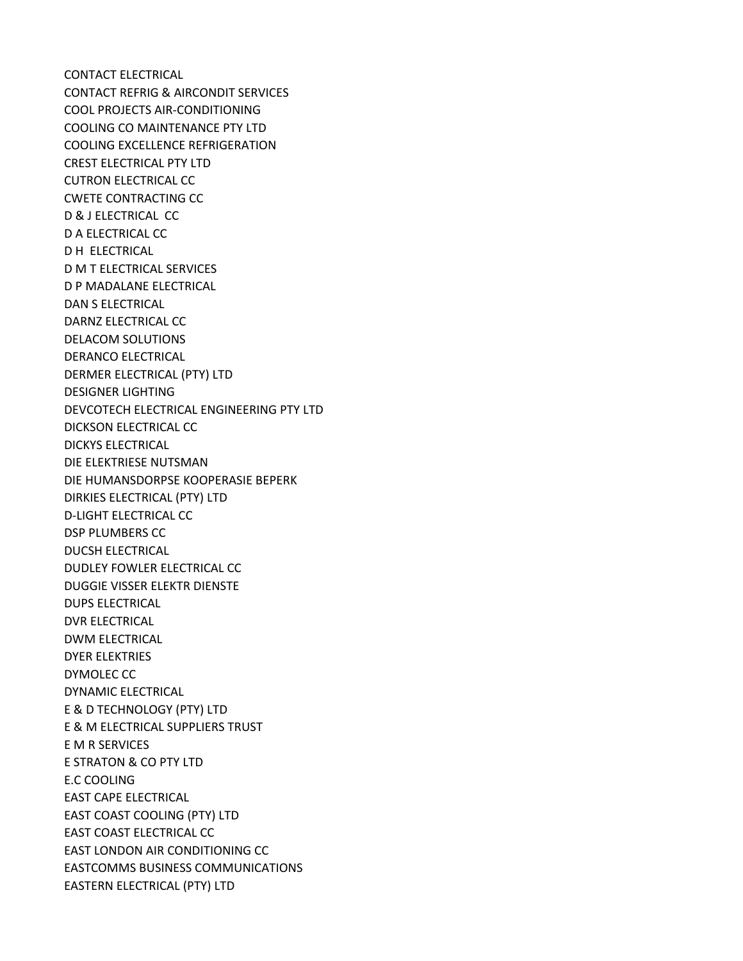CONTACT ELECTRICAL CONTACT REFRIG & AIRCONDIT SERVICES COOL PROJECTS AIR-CONDITIONING COOLING CO MAINTENANCE PTY LTD COOLING EXCELLENCE REFRIGERATION CREST ELECTRICAL PTY LTD CUTRON ELECTRICAL CC CWETE CONTRACTING CC D & J ELECTRICAL CC D A ELECTRICAL CC D H ELECTRICAL D M T ELECTRICAL SERVICES D P MADALANE ELECTRICAL DAN S ELECTRICAL DARNZ ELECTRICAL CC DELACOM SOLUTIONS DERANCO ELECTRICAL DERMER ELECTRICAL (PTY) LTD DESIGNER LIGHTING DEVCOTECH ELECTRICAL ENGINEERING PTY LTD DICKSON ELECTRICAL CC DICKYS ELECTRICAL DIE ELEKTRIESE NUTSMAN DIE HUMANSDORPSE KOOPERASIE BEPERK DIRKIES ELECTRICAL (PTY) LTD D-LIGHT ELECTRICAL CC DSP PLUMBERS CC DUCSH ELECTRICAL DUDLEY FOWLER ELECTRICAL CC DUGGIE VISSER ELEKTR DIENSTE DUPS ELECTRICAL DVR ELECTRICAL DWM ELECTRICAL DYER ELEKTRIES DYMOLEC CC DYNAMIC ELECTRICAL E & D TECHNOLOGY (PTY) LTD E & M ELECTRICAL SUPPLIERS TRUST E M R SERVICES E STRATON & CO PTY LTD E.C COOLING EAST CAPE ELECTRICAL EAST COAST COOLING (PTY) LTD EAST COAST ELECTRICAL CC EAST LONDON AIR CONDITIONING CC EASTCOMMS BUSINESS COMMUNICATIONS EASTERN ELECTRICAL (PTY) LTD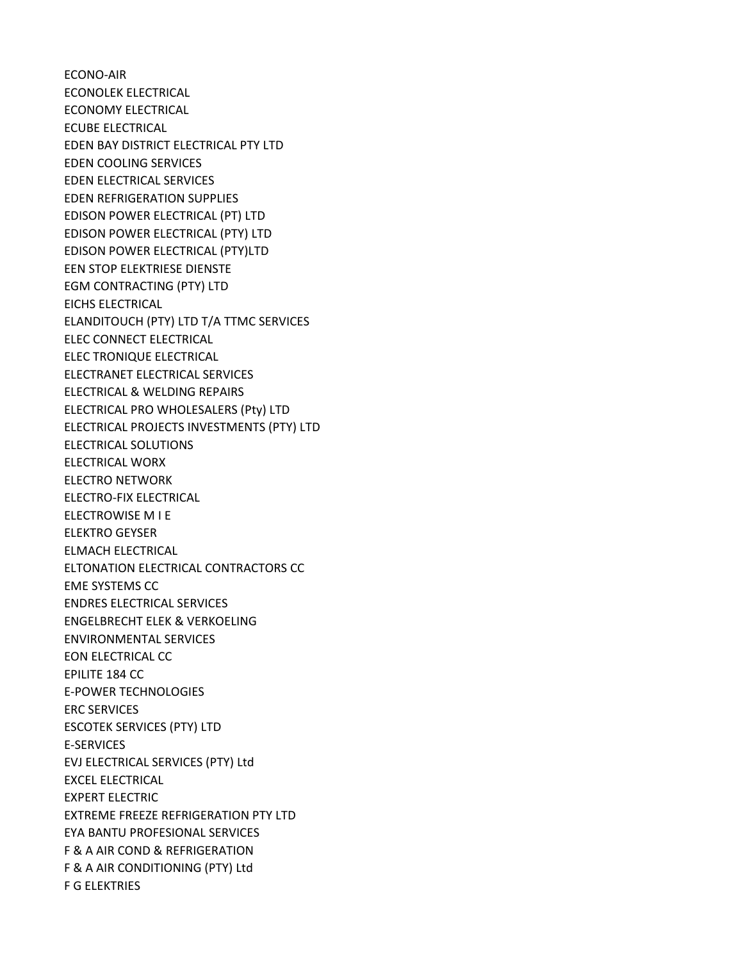ECONO-AIR ECONOLEK ELECTRICAL ECONOMY ELECTRICAL ECUBE ELECTRICAL EDEN BAY DISTRICT ELECTRICAL PTY LTD EDEN COOLING SERVICES EDEN ELECTRICAL SERVICES EDEN REFRIGERATION SUPPLIES EDISON POWER ELECTRICAL (PT) LTD EDISON POWER ELECTRICAL (PTY) LTD EDISON POWER ELECTRICAL (PTY)LTD EEN STOP ELEKTRIESE DIENSTE EGM CONTRACTING (PTY) LTD EICHS ELECTRICAL ELANDITOUCH (PTY) LTD T/A TTMC SERVICES ELEC CONNECT ELECTRICAL ELEC TRONIQUE ELECTRICAL ELECTRANET ELECTRICAL SERVICES ELECTRICAL & WELDING REPAIRS ELECTRICAL PRO WHOLESALERS (Pty) LTD ELECTRICAL PROJECTS INVESTMENTS (PTY) LTD ELECTRICAL SOLUTIONS ELECTRICAL WORX ELECTRO NETWORK ELECTRO-FIX ELECTRICAL ELECTROWISE M I E ELEKTRO GEYSER ELMACH ELECTRICAL ELTONATION ELECTRICAL CONTRACTORS CC EME SYSTEMS CC ENDRES ELECTRICAL SERVICES ENGELBRECHT ELEK & VERKOELING ENVIRONMENTAL SERVICES EON ELECTRICAL CC EPILITE 184 CC E-POWER TECHNOLOGIES ERC SERVICES ESCOTEK SERVICES (PTY) LTD E-SERVICES EVJ ELECTRICAL SERVICES (PTY) Ltd EXCEL ELECTRICAL EXPERT ELECTRIC EXTREME FREEZE REFRIGERATION PTY LTD EYA BANTU PROFESIONAL SERVICES F & A AIR COND & REFRIGERATION F & A AIR CONDITIONING (PTY) Ltd F G ELEKTRIES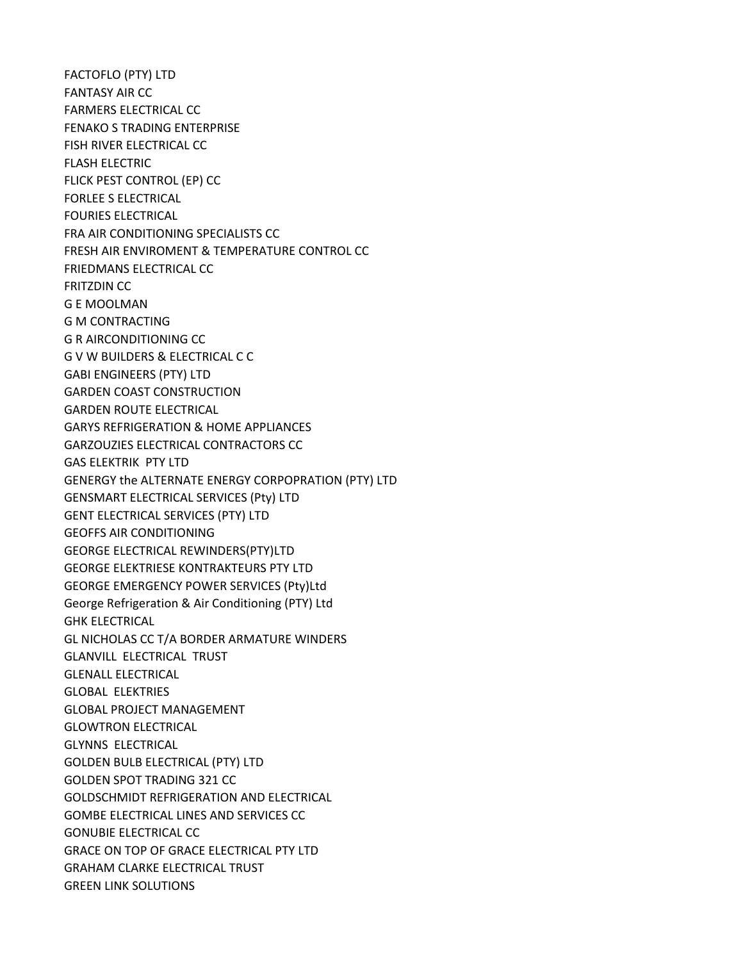FACTOFLO (PTY) LTD FANTASY AIR CC FARMERS ELECTRICAL CC FENAKO S TRADING ENTERPRISE FISH RIVER ELECTRICAL CC FLASH ELECTRIC FLICK PEST CONTROL (EP) CC FORLEE S ELECTRICAL FOURIES ELECTRICAL FRA AIR CONDITIONING SPECIALISTS CC FRESH AIR ENVIROMENT & TEMPERATURE CONTROL CC FRIEDMANS ELECTRICAL CC FRITZDIN CC G E MOOLMAN G M CONTRACTING G R AIRCONDITIONING CC G V W BUILDERS & ELECTRICAL C C GABI ENGINEERS (PTY) LTD GARDEN COAST CONSTRUCTION GARDEN ROUTE ELECTRICAL GARYS REFRIGERATION & HOME APPLIANCES GARZOUZIES ELECTRICAL CONTRACTORS CC GAS ELEKTRIK PTY LTD GENERGY the ALTERNATE ENERGY CORPOPRATION (PTY) LTD GENSMART ELECTRICAL SERVICES (Pty) LTD GENT ELECTRICAL SERVICES (PTY) LTD GEOFFS AIR CONDITIONING GEORGE ELECTRICAL REWINDERS(PTY)LTD GEORGE ELEKTRIESE KONTRAKTEURS PTY LTD GEORGE EMERGENCY POWER SERVICES (Pty)Ltd George Refrigeration & Air Conditioning (PTY) Ltd GHK ELECTRICAL GL NICHOLAS CC T/A BORDER ARMATURE WINDERS GLANVILL ELECTRICAL TRUST GLENALL ELECTRICAL GLOBAL ELEKTRIES GLOBAL PROJECT MANAGEMENT GLOWTRON ELECTRICAL GLYNNS ELECTRICAL GOLDEN BULB ELECTRICAL (PTY) LTD GOLDEN SPOT TRADING 321 CC GOLDSCHMIDT REFRIGERATION AND ELECTRICAL GOMBE ELECTRICAL LINES AND SERVICES CC GONUBIE ELECTRICAL CC GRACE ON TOP OF GRACE ELECTRICAL PTY LTD GRAHAM CLARKE ELECTRICAL TRUST GREEN LINK SOLUTIONS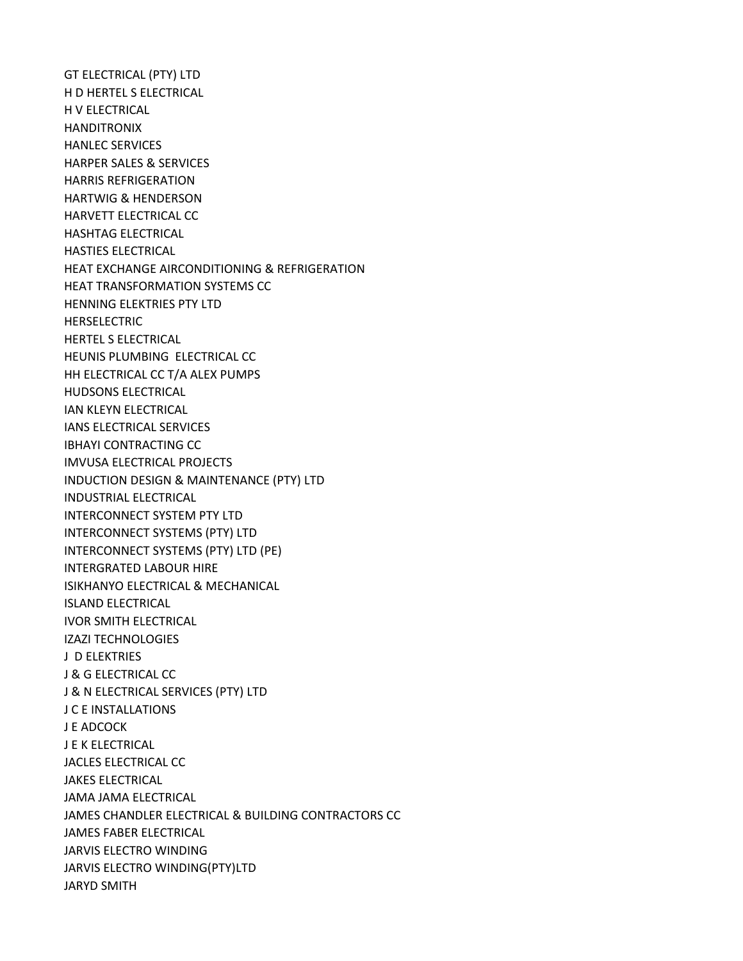GT ELECTRICAL (PTY) LTD H D HERTEL S ELECTRICAL H V ELECTRICAL HANDITRONIX HANLEC SERVICES HARPER SALES & SERVICES HARRIS REFRIGERATION HARTWIG & HENDERSON HARVETT ELECTRICAL CC HASHTAG ELECTRICAL HASTIES ELECTRICAL HEAT EXCHANGE AIRCONDITIONING & REFRIGERATION HEAT TRANSFORMATION SYSTEMS CC HENNING ELEKTRIES PTY LTD HERSELECTRIC HERTEL S ELECTRICAL HEUNIS PLUMBING ELECTRICAL CC HH ELECTRICAL CC T/A ALEX PUMPS HUDSONS ELECTRICAL IAN KLEYN ELECTRICAL IANS ELECTRICAL SERVICES IBHAYI CONTRACTING CC IMVUSA ELECTRICAL PROJECTS INDUCTION DESIGN & MAINTENANCE (PTY) LTD INDUSTRIAL ELECTRICAL INTERCONNECT SYSTEM PTY LTD INTERCONNECT SYSTEMS (PTY) LTD INTERCONNECT SYSTEMS (PTY) LTD (PE) INTERGRATED LABOUR HIRE ISIKHANYO ELECTRICAL & MECHANICAL ISLAND ELECTRICAL IVOR SMITH ELECTRICAL IZAZI TECHNOLOGIES J D ELEKTRIES J & G ELECTRICAL CC J & N ELECTRICAL SERVICES (PTY) LTD J C E INSTALLATIONS J E ADCOCK J E K ELECTRICAL JACLES ELECTRICAL CC JAKES ELECTRICAL JAMA JAMA ELECTRICAL JAMES CHANDLER ELECTRICAL & BUILDING CONTRACTORS CC JAMES FABER ELECTRICAL JARVIS ELECTRO WINDING JARVIS ELECTRO WINDING(PTY)LTD JARYD SMITH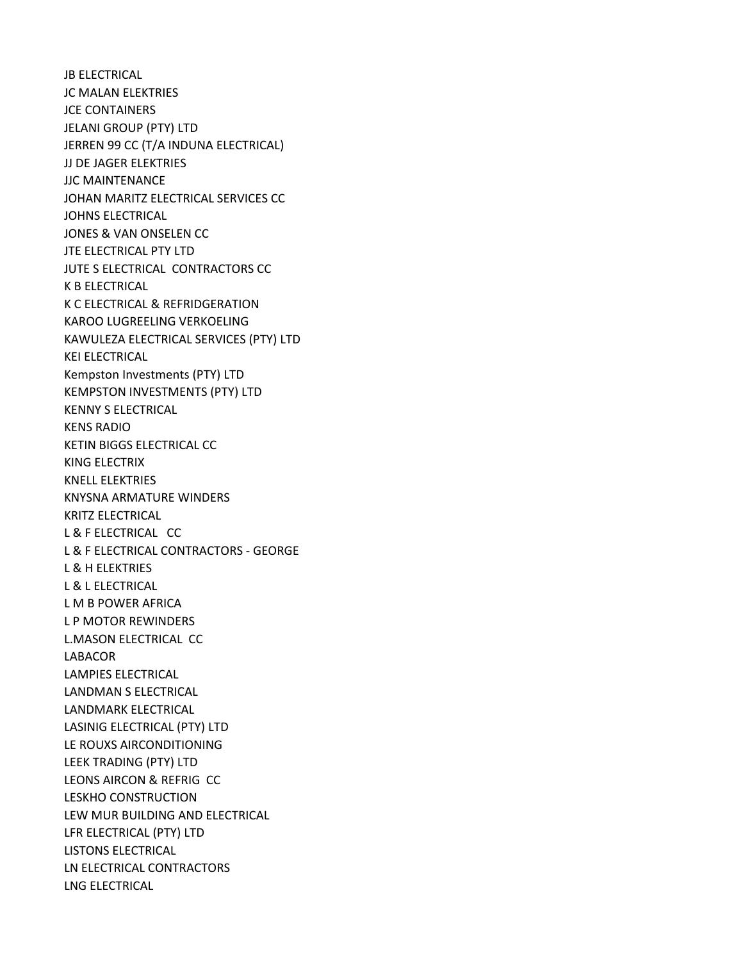JB ELECTRICAL JC MALAN ELEKTRIES JCE CONTAINERS JELANI GROUP (PTY) LTD JERREN 99 CC (T/A INDUNA ELECTRICAL) JJ DE JAGER ELEKTRIES JJC MAINTENANCE JOHAN MARITZ ELECTRICAL SERVICES CC JOHNS ELECTRICAL JONES & VAN ONSELEN CC JTE ELECTRICAL PTY LTD JUTE S ELECTRICAL CONTRACTORS CC K B ELECTRICAL K C ELECTRICAL & REFRIDGERATION KAROO LUGREELING VERKOELING KAWULEZA ELECTRICAL SERVICES (PTY) LTD KEI ELECTRICAL Kempston Investments (PTY) LTD KEMPSTON INVESTMENTS (PTY) LTD KENNY S ELECTRICAL KENS RADIO KETIN BIGGS ELECTRICAL CC KING ELECTRIX KNELL ELEKTRIES KNYSNA ARMATURE WINDERS KRITZ ELECTRICAL L & F ELECTRICAL CC L & F ELECTRICAL CONTRACTORS - GEORGE L & H ELEKTRIES L & L ELECTRICAL L M B POWER AFRICA L P MOTOR REWINDERS L.MASON ELECTRICAL CC LABACOR LAMPIES ELECTRICAL LANDMAN S ELECTRICAL LANDMARK ELECTRICAL LASINIG ELECTRICAL (PTY) LTD LE ROUXS AIRCONDITIONING LEEK TRADING (PTY) LTD LEONS AIRCON & REFRIG CC LESKHO CONSTRUCTION LEW MUR BUILDING AND ELECTRICAL LFR ELECTRICAL (PTY) LTD LISTONS ELECTRICAL LN ELECTRICAL CONTRACTORS LNG ELECTRICAL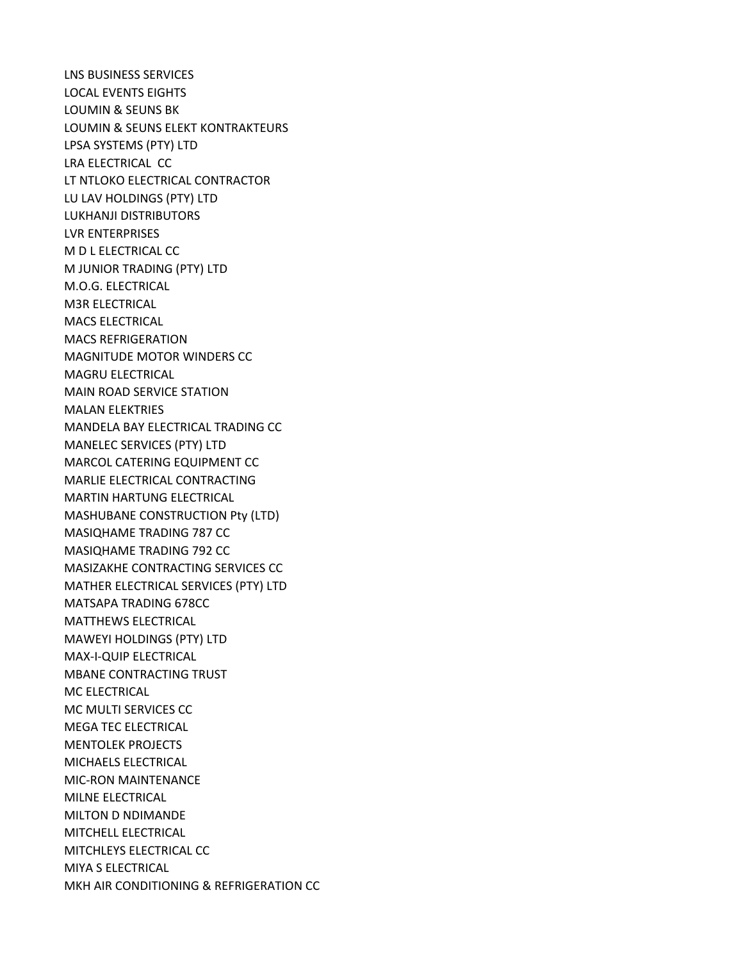LNS BUSINESS SERVICES LOCAL EVENTS EIGHTS LOUMIN & SEUNS BK LOUMIN & SEUNS ELEKT KONTRAKTEURS LPSA SYSTEMS (PTY) LTD LRA ELECTRICAL CC LT NTLOKO ELECTRICAL CONTRACTOR LU LAV HOLDINGS (PTY) LTD LUKHANJI DISTRIBUTORS LVR ENTERPRISES M D L ELECTRICAL CC M JUNIOR TRADING (PTY) LTD M.O.G. ELECTRICAL M3R ELECTRICAL MACS ELECTRICAL MACS REFRIGERATION MAGNITUDE MOTOR WINDERS CC MAGRU ELECTRICAL MAIN ROAD SERVICE STATION MALAN ELEKTRIES MANDELA BAY ELECTRICAL TRADING CC MANELEC SERVICES (PTY) LTD MARCOL CATERING EQUIPMENT CC MARLIE ELECTRICAL CONTRACTING MARTIN HARTUNG ELECTRICAL MASHUBANE CONSTRUCTION Pty (LTD) MASIQHAME TRADING 787 CC MASIQHAME TRADING 792 CC MASIZAKHE CONTRACTING SERVICES CC MATHER ELECTRICAL SERVICES (PTY) LTD MATSAPA TRADING 678CC MATTHEWS ELECTRICAL MAWEYI HOLDINGS (PTY) LTD MAX-I-QUIP ELECTRICAL MBANE CONTRACTING TRUST MC ELECTRICAL MC MULTI SERVICES CC MEGA TEC ELECTRICAL MENTOLEK PROJECTS MICHAELS ELECTRICAL MIC-RON MAINTENANCE MILNE ELECTRICAL MILTON D NDIMANDE MITCHELL ELECTRICAL MITCHLEYS ELECTRICAL CC MIYA S ELECTRICAL MKH AIR CONDITIONING & REFRIGERATION CC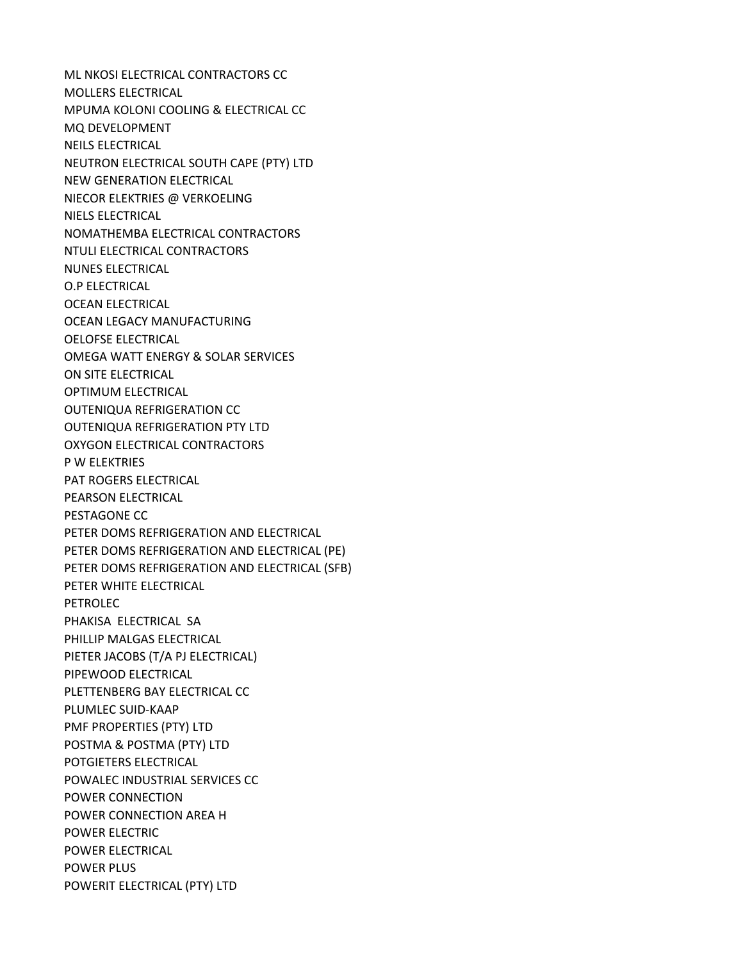ML NKOSI ELECTRICAL CONTRACTORS CC MOLLERS ELECTRICAL MPUMA KOLONI COOLING & ELECTRICAL CC MQ DEVELOPMENT NEILS ELECTRICAL NEUTRON ELECTRICAL SOUTH CAPE (PTY) LTD NEW GENERATION ELECTRICAL NIECOR ELEKTRIES @ VERKOELING NIELS ELECTRICAL NOMATHEMBA ELECTRICAL CONTRACTORS NTULI ELECTRICAL CONTRACTORS NUNES ELECTRICAL O.P ELECTRICAL OCEAN ELECTRICAL OCEAN LEGACY MANUFACTURING OELOFSE ELECTRICAL OMEGA WATT ENERGY & SOLAR SERVICES ON SITE ELECTRICAL OPTIMUM ELECTRICAL OUTENIQUA REFRIGERATION CC OUTENIQUA REFRIGERATION PTY LTD OXYGON ELECTRICAL CONTRACTORS P W ELEKTRIES PAT ROGERS ELECTRICAL PEARSON ELECTRICAL PESTAGONE CC PETER DOMS REFRIGERATION AND ELECTRICAL PETER DOMS REFRIGERATION AND ELECTRICAL (PE) PETER DOMS REFRIGERATION AND ELECTRICAL (SFB) PETER WHITE ELECTRICAL PETROLEC PHAKISA ELECTRICAL SA PHILLIP MALGAS ELECTRICAL PIETER JACOBS (T/A PJ ELECTRICAL) PIPEWOOD ELECTRICAL PLETTENBERG BAY ELECTRICAL CC PLUMLEC SUID-KAAP PMF PROPERTIES (PTY) LTD POSTMA & POSTMA (PTY) LTD POTGIETERS ELECTRICAL POWALEC INDUSTRIAL SERVICES CC POWER CONNECTION POWER CONNECTION AREA H POWER ELECTRIC POWER ELECTRICAL POWER PLUS POWERIT ELECTRICAL (PTY) LTD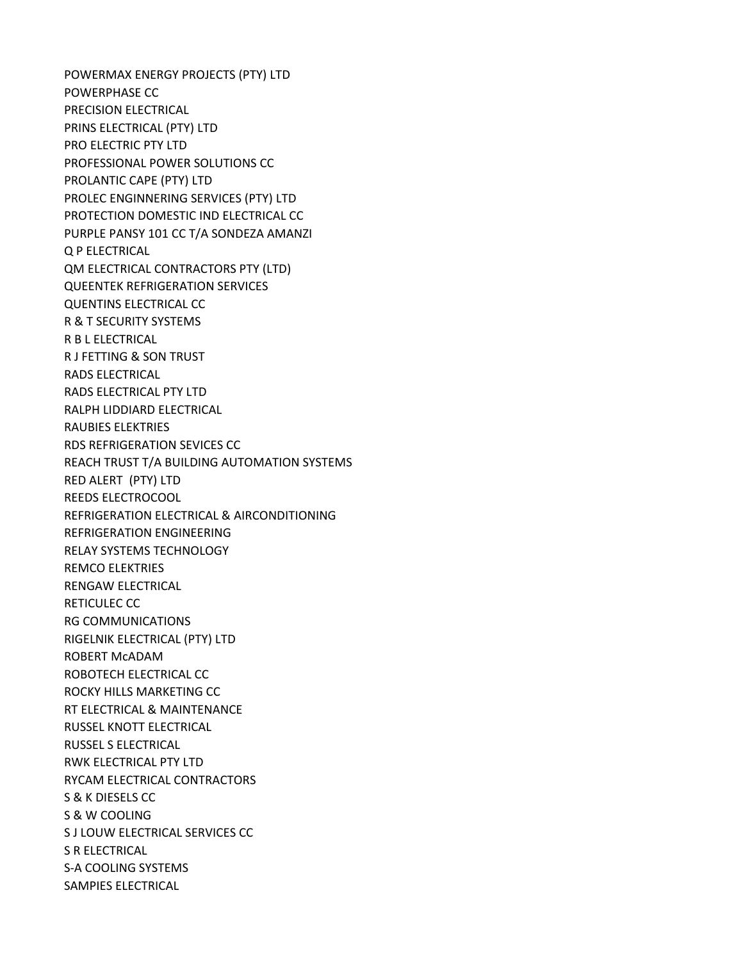POWERMAX ENERGY PROJECTS (PTY) LTD POWERPHASE CC PRECISION ELECTRICAL PRINS ELECTRICAL (PTY) LTD PRO ELECTRIC PTY LTD PROFESSIONAL POWER SOLUTIONS CC PROLANTIC CAPE (PTY) LTD PROLEC ENGINNERING SERVICES (PTY) LTD PROTECTION DOMESTIC IND ELECTRICAL CC PURPLE PANSY 101 CC T/A SONDEZA AMANZI Q P ELECTRICAL QM ELECTRICAL CONTRACTORS PTY (LTD) QUEENTEK REFRIGERATION SERVICES QUENTINS ELECTRICAL CC R & T SECURITY SYSTEMS R B L ELECTRICAL R J FETTING & SON TRUST RADS ELECTRICAL RADS ELECTRICAL PTY LTD RALPH LIDDIARD ELECTRICAL RAUBIES ELEKTRIES RDS REFRIGERATION SEVICES CC REACH TRUST T/A BUILDING AUTOMATION SYSTEMS RED ALERT (PTY) LTD REEDS ELECTROCOOL REFRIGERATION ELECTRICAL & AIRCONDITIONING REFRIGERATION ENGINEERING RELAY SYSTEMS TECHNOLOGY REMCO ELEKTRIES RENGAW ELECTRICAL RETICULEC CC RG COMMUNICATIONS RIGELNIK ELECTRICAL (PTY) LTD ROBERT McADAM ROBOTECH ELECTRICAL CC ROCKY HILLS MARKETING CC RT ELECTRICAL & MAINTENANCE RUSSEL KNOTT ELECTRICAL RUSSEL S ELECTRICAL RWK ELECTRICAL PTY LTD RYCAM ELECTRICAL CONTRACTORS S & K DIESELS CC S & W COOLING S J LOUW ELECTRICAL SERVICES CC S R ELECTRICAL S-A COOLING SYSTEMS SAMPIES ELECTRICAL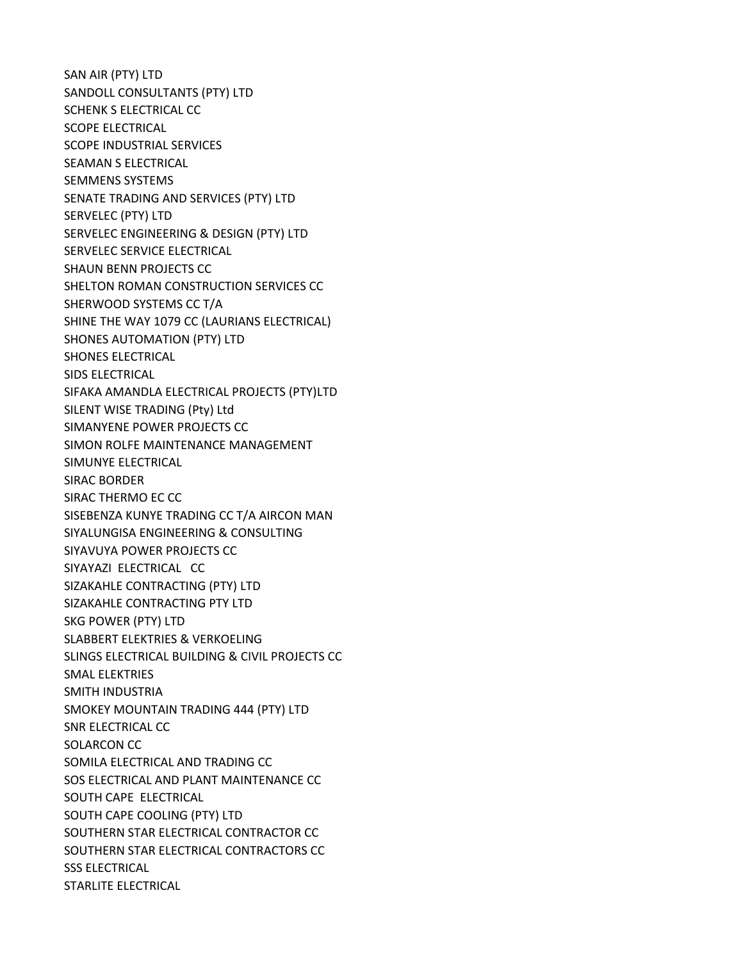SAN AIR (PTY) LTD SANDOLL CONSULTANTS (PTY) LTD SCHENK S ELECTRICAL CC SCOPE ELECTRICAL SCOPE INDUSTRIAL SERVICES SEAMAN S ELECTRICAL SEMMENS SYSTEMS SENATE TRADING AND SERVICES (PTY) LTD SERVELEC (PTY) LTD SERVELEC ENGINEERING & DESIGN (PTY) LTD SERVELEC SERVICE ELECTRICAL SHAUN BENN PROJECTS CC SHELTON ROMAN CONSTRUCTION SERVICES CC SHERWOOD SYSTEMS CC T/A SHINE THE WAY 1079 CC (LAURIANS ELECTRICAL) SHONES AUTOMATION (PTY) LTD SHONES ELECTRICAL SIDS ELECTRICAL SIFAKA AMANDLA ELECTRICAL PROJECTS (PTY)LTD SILENT WISE TRADING (Pty) Ltd SIMANYENE POWER PROJECTS CC SIMON ROLFE MAINTENANCE MANAGEMENT SIMUNYE ELECTRICAL SIRAC BORDER SIRAC THERMO EC CC SISEBENZA KUNYE TRADING CC T/A AIRCON MAN SIYALUNGISA ENGINEERING & CONSULTING SIYAVUYA POWER PROJECTS CC SIYAYAZI ELECTRICAL CC SIZAKAHLE CONTRACTING (PTY) LTD SIZAKAHLE CONTRACTING PTY LTD SKG POWER (PTY) LTD SLABBERT ELEKTRIES & VERKOELING SLINGS ELECTRICAL BUILDING & CIVIL PROJECTS CC SMAL ELEKTRIES SMITH INDUSTRIA SMOKEY MOUNTAIN TRADING 444 (PTY) LTD SNR ELECTRICAL CC SOLARCON CC SOMILA ELECTRICAL AND TRADING CC SOS ELECTRICAL AND PLANT MAINTENANCE CC SOUTH CAPE ELECTRICAL SOUTH CAPE COOLING (PTY) LTD SOUTHERN STAR ELECTRICAL CONTRACTOR CC SOUTHERN STAR ELECTRICAL CONTRACTORS CC SSS ELECTRICAL STARLITE ELECTRICAL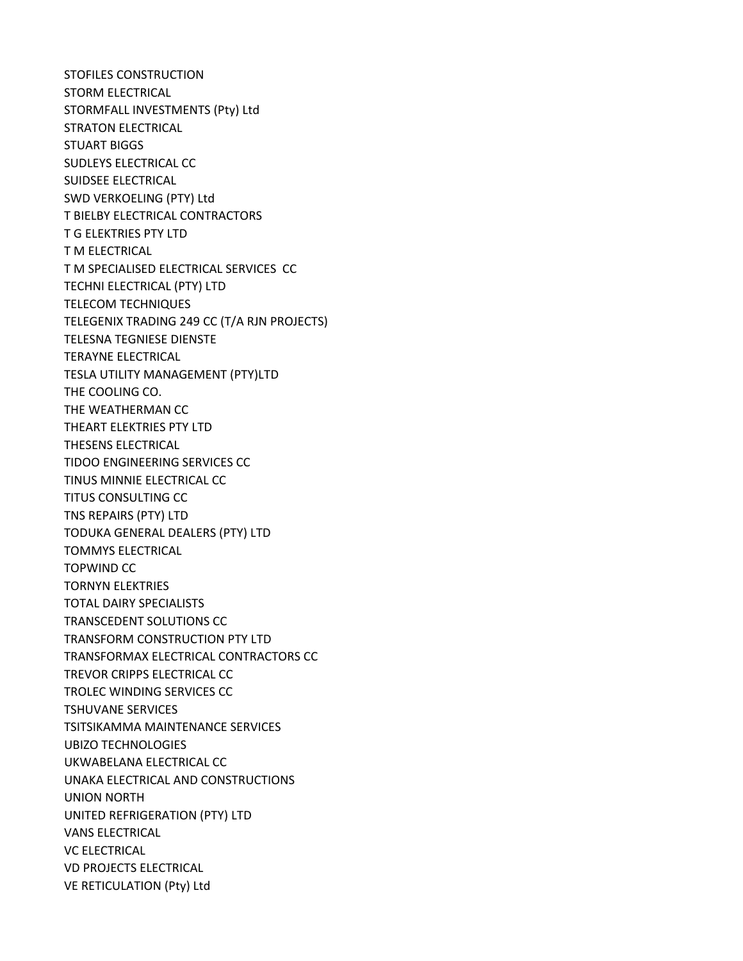STOFILES CONSTRUCTION STORM ELECTRICAL STORMFALL INVESTMENTS (Pty) Ltd STRATON ELECTRICAL STUART BIGGS SUDLEYS ELECTRICAL CC SUIDSEE ELECTRICAL SWD VERKOELING (PTY) Ltd T BIELBY ELECTRICAL CONTRACTORS T G ELEKTRIES PTY LTD T M ELECTRICAL T M SPECIALISED ELECTRICAL SERVICES CC TECHNI ELECTRICAL (PTY) LTD TELECOM TECHNIQUES TELEGENIX TRADING 249 CC (T/A RJN PROJECTS) TELESNA TEGNIESE DIENSTE TERAYNE ELECTRICAL TESLA UTILITY MANAGEMENT (PTY)LTD THE COOLING CO. THE WEATHERMAN CC THEART ELEKTRIES PTY LTD THESENS ELECTRICAL TIDOO ENGINEERING SERVICES CC TINUS MINNIE ELECTRICAL CC TITUS CONSULTING CC TNS REPAIRS (PTY) LTD TODUKA GENERAL DEALERS (PTY) LTD TOMMYS ELECTRICAL TOPWIND CC TORNYN ELEKTRIES TOTAL DAIRY SPECIALISTS TRANSCEDENT SOLUTIONS CC TRANSFORM CONSTRUCTION PTY LTD TRANSFORMAX ELECTRICAL CONTRACTORS CC TREVOR CRIPPS ELECTRICAL CC TROLEC WINDING SERVICES CC TSHUVANE SERVICES TSITSIKAMMA MAINTENANCE SERVICES UBIZO TECHNOLOGIES UKWABELANA ELECTRICAL CC UNAKA ELECTRICAL AND CONSTRUCTIONS UNION NORTH UNITED REFRIGERATION (PTY) LTD VANS ELECTRICAL VC ELECTRICAL VD PROJECTS ELECTRICAL VE RETICULATION (Pty) Ltd